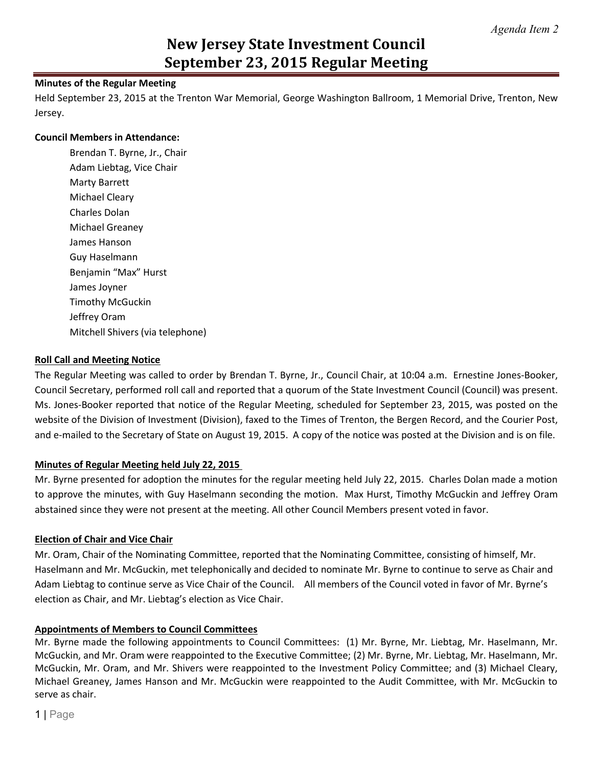## **Minutes of the Regular Meeting**

Held September 23, 2015 at the Trenton War Memorial, George Washington Ballroom, 1 Memorial Drive, Trenton, New Jersey.

### **Council Members in Attendance:**

Brendan T. Byrne, Jr., Chair Adam Liebtag, Vice Chair Marty Barrett Michael Cleary Charles Dolan Michael Greaney James Hanson Guy Haselmann Benjamin "Max" Hurst James Joyner Timothy McGuckin Jeffrey Oram Mitchell Shivers (via telephone)

## **Roll Call and Meeting Notice**

The Regular Meeting was called to order by Brendan T. Byrne, Jr., Council Chair, at 10:04 a.m. Ernestine Jones-Booker, Council Secretary, performed roll call and reported that a quorum of the State Investment Council (Council) was present. Ms. Jones-Booker reported that notice of the Regular Meeting, scheduled for September 23, 2015, was posted on the website of the Division of Investment (Division), faxed to the Times of Trenton, the Bergen Record, and the Courier Post, and e-mailed to the Secretary of State on August 19, 2015. A copy of the notice was posted at the Division and is on file.

## **Minutes of Regular Meeting held July 22, 2015**

Mr. Byrne presented for adoption the minutes for the regular meeting held July 22, 2015. Charles Dolan made a motion to approve the minutes, with Guy Haselmann seconding the motion. Max Hurst, Timothy McGuckin and Jeffrey Oram abstained since they were not present at the meeting. All other Council Members present voted in favor.

## **Election of Chair and Vice Chair**

Mr. Oram, Chair of the Nominating Committee, reported that the Nominating Committee, consisting of himself, Mr. Haselmann and Mr. McGuckin, met telephonically and decided to nominate Mr. Byrne to continue to serve as Chair and Adam Liebtag to continue serve as Vice Chair of the Council. All members of the Council voted in favor of Mr. Byrne's election as Chair, and Mr. Liebtag's election as Vice Chair.

## **Appointments of Members to Council Committees**

Mr. Byrne made the following appointments to Council Committees: (1) Mr. Byrne, Mr. Liebtag, Mr. Haselmann, Mr. McGuckin, and Mr. Oram were reappointed to the Executive Committee; (2) Mr. Byrne, Mr. Liebtag, Mr. Haselmann, Mr. McGuckin, Mr. Oram, and Mr. Shivers were reappointed to the Investment Policy Committee; and (3) Michael Cleary, Michael Greaney, James Hanson and Mr. McGuckin were reappointed to the Audit Committee, with Mr. McGuckin to serve as chair.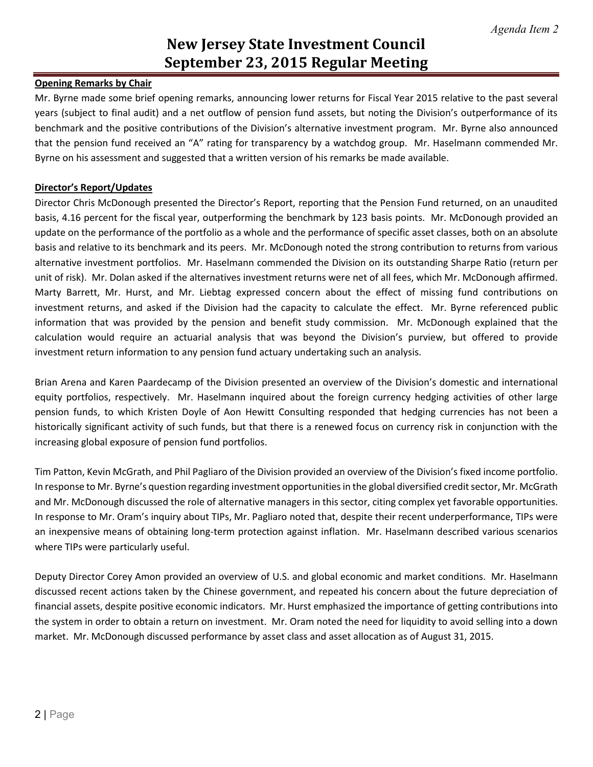## **Opening Remarks by Chair**

Mr. Byrne made some brief opening remarks, announcing lower returns for Fiscal Year 2015 relative to the past several years (subject to final audit) and a net outflow of pension fund assets, but noting the Division's outperformance of its benchmark and the positive contributions of the Division's alternative investment program. Mr. Byrne also announced that the pension fund received an "A" rating for transparency by a watchdog group. Mr. Haselmann commended Mr. Byrne on his assessment and suggested that a written version of his remarks be made available.

#### **Director's Report/Updates**

Director Chris McDonough presented the Director's Report, reporting that the Pension Fund returned, on an unaudited basis, 4.16 percent for the fiscal year, outperforming the benchmark by 123 basis points. Mr. McDonough provided an update on the performance of the portfolio as a whole and the performance of specific asset classes, both on an absolute basis and relative to its benchmark and its peers. Mr. McDonough noted the strong contribution to returns from various alternative investment portfolios. Mr. Haselmann commended the Division on its outstanding Sharpe Ratio (return per unit of risk). Mr. Dolan asked if the alternatives investment returns were net of all fees, which Mr. McDonough affirmed. Marty Barrett, Mr. Hurst, and Mr. Liebtag expressed concern about the effect of missing fund contributions on investment returns, and asked if the Division had the capacity to calculate the effect. Mr. Byrne referenced public information that was provided by the pension and benefit study commission. Mr. McDonough explained that the calculation would require an actuarial analysis that was beyond the Division's purview, but offered to provide investment return information to any pension fund actuary undertaking such an analysis.

Brian Arena and Karen Paardecamp of the Division presented an overview of the Division's domestic and international equity portfolios, respectively. Mr. Haselmann inquired about the foreign currency hedging activities of other large pension funds, to which Kristen Doyle of Aon Hewitt Consulting responded that hedging currencies has not been a historically significant activity of such funds, but that there is a renewed focus on currency risk in conjunction with the increasing global exposure of pension fund portfolios.

Tim Patton, Kevin McGrath, and Phil Pagliaro of the Division provided an overview of the Division's fixed income portfolio. In response to Mr. Byrne's question regarding investment opportunities in the global diversified credit sector, Mr. McGrath and Mr. McDonough discussed the role of alternative managers in this sector, citing complex yet favorable opportunities. In response to Mr. Oram's inquiry about TIPs, Mr. Pagliaro noted that, despite their recent underperformance, TIPs were an inexpensive means of obtaining long-term protection against inflation. Mr. Haselmann described various scenarios where TIPs were particularly useful.

Deputy Director Corey Amon provided an overview of U.S. and global economic and market conditions. Mr. Haselmann discussed recent actions taken by the Chinese government, and repeated his concern about the future depreciation of financial assets, despite positive economic indicators. Mr. Hurst emphasized the importance of getting contributions into the system in order to obtain a return on investment. Mr. Oram noted the need for liquidity to avoid selling into a down market. Mr. McDonough discussed performance by asset class and asset allocation as of August 31, 2015.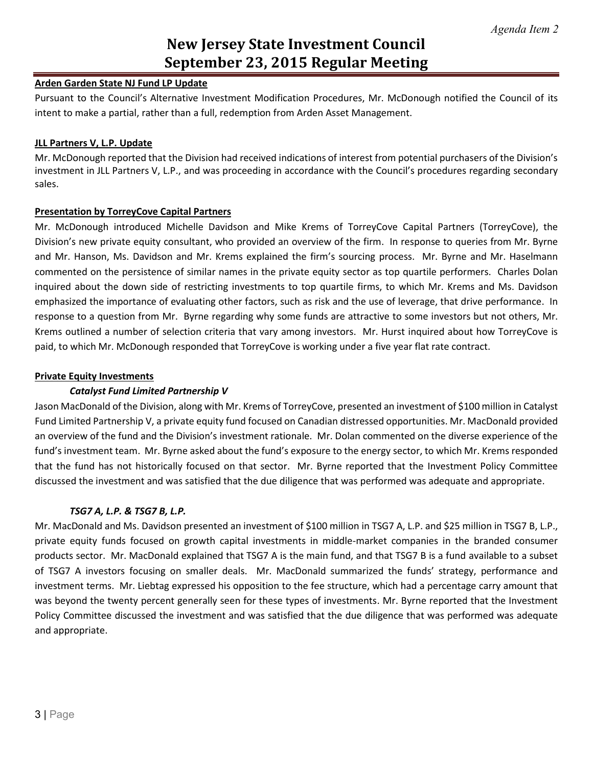## **Arden Garden State NJ Fund LP Update**

Pursuant to the Council's Alternative Investment Modification Procedures, Mr. McDonough notified the Council of its intent to make a partial, rather than a full, redemption from Arden Asset Management.

## **JLL Partners V, L.P. Update**

Mr. McDonough reported that the Division had received indications of interest from potential purchasers of the Division's investment in JLL Partners V, L.P., and was proceeding in accordance with the Council's procedures regarding secondary sales.

## **Presentation by TorreyCove Capital Partners**

Mr. McDonough introduced Michelle Davidson and Mike Krems of TorreyCove Capital Partners (TorreyCove), the Division's new private equity consultant, who provided an overview of the firm. In response to queries from Mr. Byrne and Mr. Hanson, Ms. Davidson and Mr. Krems explained the firm's sourcing process. Mr. Byrne and Mr. Haselmann commented on the persistence of similar names in the private equity sector as top quartile performers. Charles Dolan inquired about the down side of restricting investments to top quartile firms, to which Mr. Krems and Ms. Davidson emphasized the importance of evaluating other factors, such as risk and the use of leverage, that drive performance. In response to a question from Mr. Byrne regarding why some funds are attractive to some investors but not others, Mr. Krems outlined a number of selection criteria that vary among investors. Mr. Hurst inquired about how TorreyCove is paid, to which Mr. McDonough responded that TorreyCove is working under a five year flat rate contract.

## **Private Equity Investments**

## *Catalyst Fund Limited Partnership V*

Jason MacDonald of the Division, along with Mr. Krems of TorreyCove, presented an investment of \$100 million in Catalyst Fund Limited Partnership V, a private equity fund focused on Canadian distressed opportunities. Mr. MacDonald provided an overview of the fund and the Division's investment rationale. Mr. Dolan commented on the diverse experience of the fund's investment team. Mr. Byrne asked about the fund's exposure to the energy sector, to which Mr. Krems responded that the fund has not historically focused on that sector. Mr. Byrne reported that the Investment Policy Committee discussed the investment and was satisfied that the due diligence that was performed was adequate and appropriate.

## *TSG7 A, L.P. & TSG7 B, L.P.*

Mr. MacDonald and Ms. Davidson presented an investment of \$100 million in TSG7 A, L.P. and \$25 million in TSG7 B, L.P., private equity funds focused on growth capital investments in middle-market companies in the branded consumer products sector. Mr. MacDonald explained that TSG7 A is the main fund, and that TSG7 B is a fund available to a subset of TSG7 A investors focusing on smaller deals. Mr. MacDonald summarized the funds' strategy, performance and investment terms. Mr. Liebtag expressed his opposition to the fee structure, which had a percentage carry amount that was beyond the twenty percent generally seen for these types of investments. Mr. Byrne reported that the Investment Policy Committee discussed the investment and was satisfied that the due diligence that was performed was adequate and appropriate.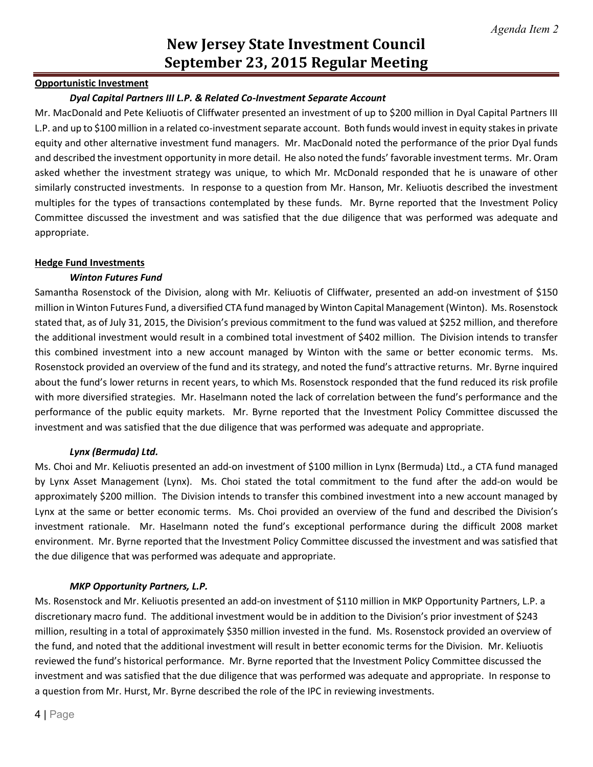### **Opportunistic Investment**

#### *Dyal Capital Partners III L.P. & Related Co-Investment Separate Account*

Mr. MacDonald and Pete Keliuotis of Cliffwater presented an investment of up to \$200 million in Dyal Capital Partners III L.P. and up to \$100 million in a related co-investment separate account. Both funds would invest in equity stakes in private equity and other alternative investment fund managers. Mr. MacDonald noted the performance of the prior Dyal funds and described the investment opportunity in more detail. He also noted the funds' favorable investment terms. Mr. Oram asked whether the investment strategy was unique, to which Mr. McDonald responded that he is unaware of other similarly constructed investments. In response to a question from Mr. Hanson, Mr. Keliuotis described the investment multiples for the types of transactions contemplated by these funds. Mr. Byrne reported that the Investment Policy Committee discussed the investment and was satisfied that the due diligence that was performed was adequate and appropriate.

#### **Hedge Fund Investments**

#### *Winton Futures Fund*

Samantha Rosenstock of the Division, along with Mr. Keliuotis of Cliffwater, presented an add-on investment of \$150 million in Winton Futures Fund, a diversified CTA fund managed by Winton Capital Management (Winton). Ms. Rosenstock stated that, as of July 31, 2015, the Division's previous commitment to the fund was valued at \$252 million, and therefore the additional investment would result in a combined total investment of \$402 million. The Division intends to transfer this combined investment into a new account managed by Winton with the same or better economic terms. Ms. Rosenstock provided an overview of the fund and its strategy, and noted the fund's attractive returns. Mr. Byrne inquired about the fund's lower returns in recent years, to which Ms. Rosenstock responded that the fund reduced its risk profile with more diversified strategies. Mr. Haselmann noted the lack of correlation between the fund's performance and the performance of the public equity markets. Mr. Byrne reported that the Investment Policy Committee discussed the investment and was satisfied that the due diligence that was performed was adequate and appropriate.

## *Lynx (Bermuda) Ltd.*

Ms. Choi and Mr. Keliuotis presented an add-on investment of \$100 million in Lynx (Bermuda) Ltd., a CTA fund managed by Lynx Asset Management (Lynx). Ms. Choi stated the total commitment to the fund after the add-on would be approximately \$200 million. The Division intends to transfer this combined investment into a new account managed by Lynx at the same or better economic terms. Ms. Choi provided an overview of the fund and described the Division's investment rationale. Mr. Haselmann noted the fund's exceptional performance during the difficult 2008 market environment. Mr. Byrne reported that the Investment Policy Committee discussed the investment and was satisfied that the due diligence that was performed was adequate and appropriate.

## *MKP Opportunity Partners, L.P.*

Ms. Rosenstock and Mr. Keliuotis presented an add-on investment of \$110 million in MKP Opportunity Partners, L.P. a discretionary macro fund. The additional investment would be in addition to the Division's prior investment of \$243 million, resulting in a total of approximately \$350 million invested in the fund. Ms. Rosenstock provided an overview of the fund, and noted that the additional investment will result in better economic terms for the Division. Mr. Keliuotis reviewed the fund's historical performance. Mr. Byrne reported that the Investment Policy Committee discussed the investment and was satisfied that the due diligence that was performed was adequate and appropriate. In response to a question from Mr. Hurst, Mr. Byrne described the role of the IPC in reviewing investments.